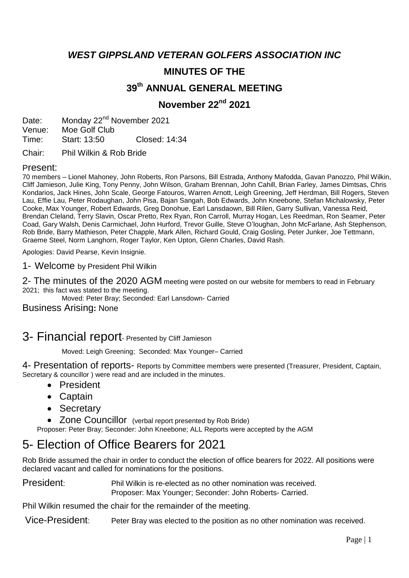*WEST GIPPSLAND VETERAN GOLFERS ASSOCIATION INC*

# **MINUTES OF THE**

# **39 th ANNUAL GENERAL MEETING**

## **November 22nd 2021**

Date: Monday 22<sup>nd</sup> November 2021 Venue: Moe Golf Club Time: Start: 13:50 Closed: 14:34

Chair: Phil Wilkin & Rob Bride

#### Present:

70 members – Lionel Mahoney, John Roberts, Ron Parsons, Bill Estrada, Anthony Mafodda, Gavan Panozzo, Phil Wilkin, Cliff Jamieson, Julie King, Tony Penny, John Wilson, Graham Brennan, John Cahill, Brian Farley, James Dimtsas, Chris Kondarios, Jack Hines, John Scale, George Fatouros, Warren Arnott, Leigh Greening, Jeff Herdman, Bill Rogers, Steven Lau, Effie Lau, Peter Rodaughan, John Pisa, Bajan Sangah, Bob Edwards, John Kneebone, Stefan Michalowsky, Peter Cooke, Max Younger, Robert Edwards, Greg Donohue, Earl Lansdaown, Bill Rilen, Garry Sullivan, Vanessa Reid, Brendan Cleland, Terry Slavin, Oscar Pretto, Rex Ryan, Ron Carroll, Murray Hogan, Les Reedman, Ron Seamer, Peter Coad, Gary Walsh, Denis Carmichael, John Hurford, Trevor Guille, Steve O'loughan, John McFarlane, Ash Stephenson, Rob Bride, Barry Mathieson, Peter Chapple, Mark Allen, Richard Gould, Craig Gosling, Peter Junker, Joe Tettmann, Graeme Steel, Norm Langhorn, Roger Taylor, Ken Upton, Glenn Charles, David Rash.

Apologies: David Pearse, Kevin Insignie.

1- Welcome by President Phil Wilkin

2- The minutes of the 2020 AGM meeting were posted on our website for members to read in February 2021; this fact was stated to the meeting.

Moved: Peter Bray; Seconded: Earl Lansdown- Carried

#### Business Arising**:** None

# 3- Financial report- Presented by Cliff Jamieson

Moved: Leigh Greening; Seconded: Max Younger– Carried

4- Presentation of reports- Reports by Committee members were presented (Treasurer, President, Captain, Secretary & councillor ) were read and are included in the minutes.

- President
- Captain
- Secretary
- Zone Councillor (verbal report presented by Rob Bride)

Proposer: Peter Bray; Seconder: John Kneebone; ALL Reports were accepted by the AGM

# 5- Election of Office Bearers for 2021

Rob Bride assumed the chair in order to conduct the election of office bearers for 2022. All positions were declared vacant and called for nominations for the positions.

President: Phil Wilkin is re-elected as no other nomination was received. Proposer: Max Younger; Seconder: John Roberts- Carried.

Phil Wilkin resumed the chair for the remainder of the meeting.

Vice-President: Peter Bray was elected to the position as no other nomination was received.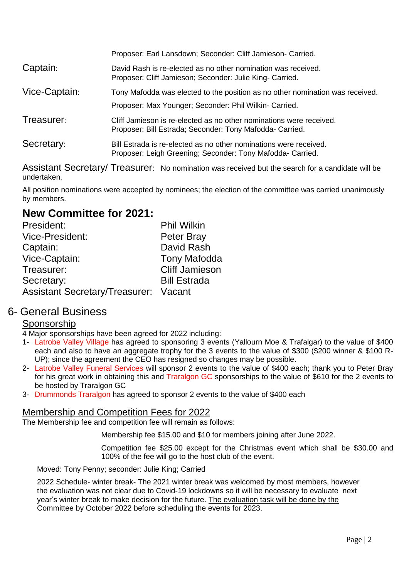|               | Proposer: Earl Lansdown; Seconder: Cliff Jamieson- Carried.                                                                     |  |
|---------------|---------------------------------------------------------------------------------------------------------------------------------|--|
| Captain:      | David Rash is re-elected as no other nomination was received.<br>Proposer: Cliff Jamieson; Seconder: Julie King- Carried.       |  |
| Vice-Captain: | Tony Mafodda was elected to the position as no other nomination was received.                                                   |  |
|               | Proposer: Max Younger; Seconder: Phil Wilkin- Carried.                                                                          |  |
| Treasurer:    | Cliff Jamieson is re-elected as no other nominations were received.<br>Proposer: Bill Estrada; Seconder: Tony Mafodda- Carried. |  |
| Secretary:    | Bill Estrada is re-elected as no other nominations were received.<br>Proposer: Leigh Greening; Seconder: Tony Mafodda- Carried. |  |
|               |                                                                                                                                 |  |

Assistant Secretary/ Treasurer: No nomination was received but the search for a candidate will be undertaken.

All position nominations were accepted by nominees; the election of the committee was carried unanimously by members.

# **New Committee for 2021:**

| President:                                   | <b>Phil Wilkin</b>    |
|----------------------------------------------|-----------------------|
| <b>Vice-President:</b>                       | <b>Peter Bray</b>     |
| Captain:                                     | David Rash            |
| Vice-Captain:                                | <b>Tony Mafodda</b>   |
| Treasurer:                                   | <b>Cliff Jamieson</b> |
| Secretary:                                   | <b>Bill Estrada</b>   |
| <b>Assistant Secretary/Treasurer: Vacant</b> |                       |

# 6- General Business

### Sponsorship

4 Major sponsorships have been agreed for 2022 including:

- 1- Latrobe Valley Village has agreed to sponsoring 3 events (Yallourn Moe & Trafalgar) to the value of \$400 each and also to have an aggregate trophy for the 3 events to the value of \$300 (\$200 winner & \$100 R-UP); since the agreement the CEO has resigned so changes may be possible.
- 2- Latrobe Valley Funeral Services will sponsor 2 events to the value of \$400 each; thank you to Peter Bray for his great work in obtaining this and Traralgon GC sponsorships to the value of \$610 for the 2 events to be hosted by Traralgon GC
- 3- Drummonds Traralgon has agreed to sponsor 2 events to the value of \$400 each

### Membership and Competition Fees for 2022

The Membership fee and competition fee will remain as follows:

Membership fee \$15.00 and \$10 for members joining after June 2022.

Competition fee \$25.00 except for the Christmas event which shall be \$30.00 and 100% of the fee will go to the host club of the event.

Moved: Tony Penny; seconder: Julie King; Carried

2022 Schedule- winter break- The 2021 winter break was welcomed by most members, however the evaluation was not clear due to Covid-19 lockdowns so it will be necessary to evaluate next year's winter break to make decision for the future. The evaluation task will be done by the Committee by October 2022 before scheduling the events for 2023.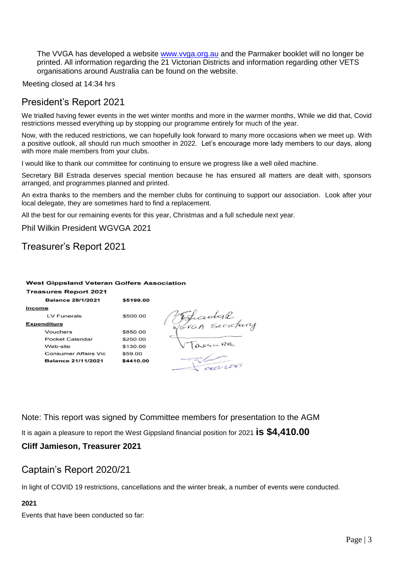The VVGA has developed a website [www.vvga.org.au](http://www.vvga.org.au/) and the Parmaker booklet will no longer be printed. All information regarding the 21 Victorian Districts and information regarding other VETS organisations around Australia can be found on the website.

Meeting closed at 14:34 hrs

# President's Report 2021

We trialled having fewer events in the wet winter months and more in the warmer months, While we did that, Covid restrictions messed everything up by stopping our programme entirely for much of the year.

Now, with the reduced restrictions, we can hopefully look forward to many more occasions when we meet up. With a positive outlook, all should run much smoother in 2022. Let's encourage more lady members to our days, along with more male members from your clubs.

I would like to thank our committee for continuing to ensure we progress like a well oiled machine.

Secretary Bill Estrada deserves special mention because he has ensured all matters are dealt with, sponsors arranged, and programmes planned and printed.

An extra thanks to the members and the member clubs for continuing to support our association. Look after your local delegate, they are sometimes hard to find a replacement.

All the best for our remaining events for this year, Christmas and a full schedule next year.

Phil Wilkin President WGVGA 2021

# Treasurer's Report 2021

#### **West Gippsland Veteran Golfers Association**

| <b>Treasures Report 2021</b> |           |
|------------------------------|-----------|
| <b>Balance 28/1/2021</b>     | \$5199.00 |
| Income                       |           |
| LV Funerals                  | \$500.00  |
| <b>Expenditure</b>           |           |
| Vouchers                     | \$850.00  |
| Pocket Calendar              | \$250.00  |
| Web-site                     | \$130.00  |
| <b>Consumer Affairs Vic</b>  | \$59.00   |
| <b>Balance 21/11/2021</b>    | \$4410.00 |
|                              |           |

Fradal<br>Povon Secretary PRESISENT

Note: This report was signed by Committee members for presentation to the AGM

It is again a pleasure to report the West Gippsland financial position for 2021 **is \$4,410.00**

#### **Cliff Jamieson, Treasurer 2021**

#### Captain's Report 2020/21

In light of COVID 19 restrictions, cancellations and the winter break, a number of events were conducted.

#### **2021**

Events that have been conducted so far: